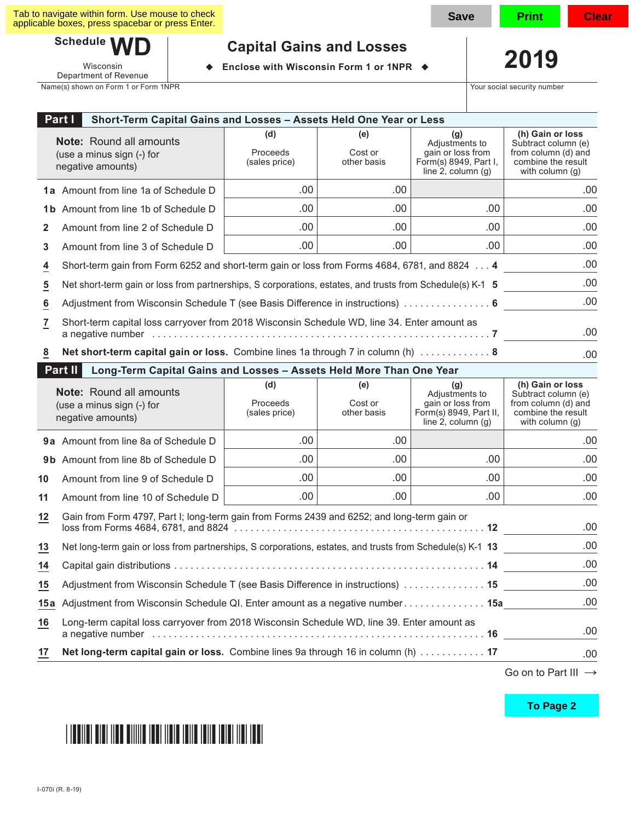Tab to navigate within form. Use mouse to check applicable boxes, press spacebar or press Enter.

**Schedule** 

Department of Revenue

**2019 Capital Gains and Losses**

**Enclose with Wisconsin Form 1 or 1NPR**  $\triangleleft$ 

Name(s) shown on Form 1 or Form 1NPR The Security number of the Security number of the Security number of the Security number

**1a** Amount from line 1a of Schedule D **1b** Amount from line 1b of Schedule D **2** Amount from line 2 of Schedule D **3** Amount from line 3 of Schedule D **4** Short-term gain from Form 6252 and short-term gain or loss from Forms 4684, 6781, and 8824 ... **4 5** Net short-term gain or loss from partnerships, S corporations, estates, and trusts from Schedule(s) K-1 **5 6** Adjustment from Wisconsin Schedule T (see Basis Diference in instructions) ................ **6 7** Short-term capital loss carryover from 2018 Wisconsin Schedule WD, line 34. Enter amount as a negative number .............................................................. **7 8 Net short-term capital gain or loss.** Combine lines 1a through 7 in column (h) ............. **8** .00 **Part I Short-Term Capital Gains and Losses – Assets Held One Year or Less** .00 .00 .00 .00 .00 .00 .00 .00 .00 .00 .00 .00 .00 .00 .00 .00 .00 .00 .00 **(h) Gain or loss** Subtract column (e) from column (d) and combine the result with column (g) **(e)** Cost or other basis **(g)** Adjustments to gain or loss from Form(s) 8949, Part I, line  $2$ , column  $(g)$ **(d)** Proceeds (sales price) **Note:** Round all amounts (use a minus sign (-) for negative amounts) **Part II Long-Term Capital Gains and Losses – Assets Held More Than One Year 9a** Amount from line 8a of Schedule D **9b** Amount from line 8b of Schedule D **10** Amount from line 9 of Schedule D **11** Amount from line 10 of Schedule D **12** Gain from Form 4797, Part I; long-term gain from Forms 2439 and 6252; and long-term gain or loss from Forms 4684, 6781, and 8824 .............................................. **12 13** Net long-term gain or loss from partnerships, S corporations, estates, and trusts from Schedule(s) K-1 **13 14** Capital gain distributions ......................................................... **14 15** Adjustment from Wisconsin Schedule T (see Basis Diference in instructions) .............. . **15 15a** Adjustment from Wisconsin Schedule QI. Enter amount as a negative number............... **15a 16** Long-term capital loss carryover from 2018 Wisconsin Schedule WD, line 39. Enter amount as a negative number ............................................................. **16 17 Net long-term capital gain or loss.** Combine lines 9a through 16 in column (h) ............ **17** .00 .00 .00 .00 .00 .00 .00 .00 .00 .00 .00 .00 .00 .00 .00 .00 .00 .00 **(h) Gain or loss** Subtract column (e) from column (d) and combine the result with column (g) **(e)** Cost or other basis **(g)** Adjustments to gain or loss from Form(s) 8949, Part II,  $line '2$ , column (g) **(d)** Proceeds (sales price) **Note:** Round all amounts (use a minus sign (-) for negative amounts) .00 .00 .00 .00

Go on to Part III  $\rightarrow$ 

To Page 2



Wisconsin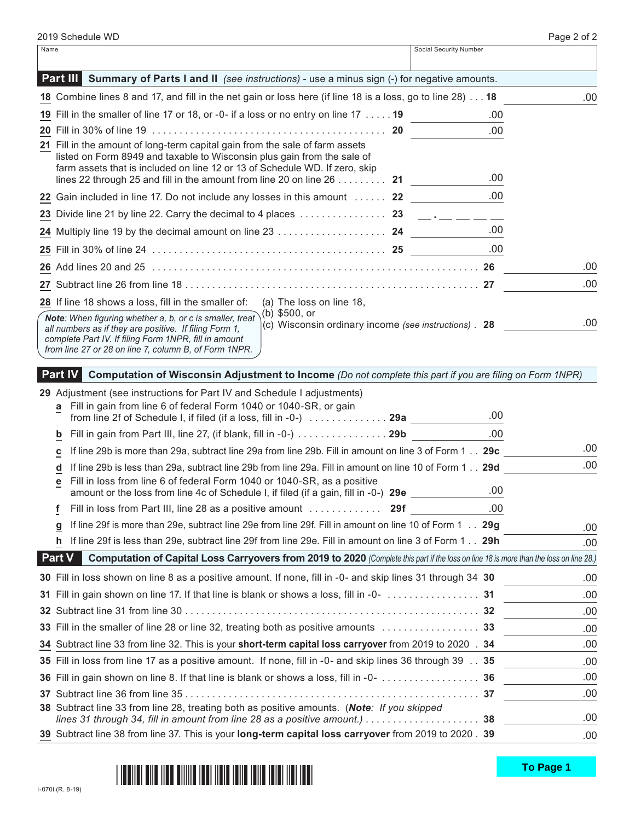| 2019 Schedule WD                                                                                                                                                                                                                                                                                                              |                        | Page 2 of 2 |
|-------------------------------------------------------------------------------------------------------------------------------------------------------------------------------------------------------------------------------------------------------------------------------------------------------------------------------|------------------------|-------------|
| Name                                                                                                                                                                                                                                                                                                                          | Social Security Number |             |
| <b>Part III</b> Summary of Parts I and II (see instructions) - use a minus sign (-) for negative amounts.                                                                                                                                                                                                                     |                        |             |
| 18 Combine lines 8 and 17, and fill in the net gain or loss here (if line 18 is a loss, go to line 28) 18                                                                                                                                                                                                                     |                        | .00         |
| 19 Fill in the smaller of line 17 or 18, or -0- if a loss or no entry on line 17 19                                                                                                                                                                                                                                           | .00                    |             |
|                                                                                                                                                                                                                                                                                                                               | .00.                   |             |
| 21 Fill in the amount of long-term capital gain from the sale of farm assets<br>listed on Form 8949 and taxable to Wisconsin plus gain from the sale of<br>farm assets that is included on line 12 or 13 of Schedule WD. If zero, skip<br>lines 22 through 25 and fill in the amount from line 20 on line 26 $\dots \dots$ 21 | .00.                   |             |
| 22 Gain included in line 17. Do not include any losses in this amount  22                                                                                                                                                                                                                                                     | .00                    |             |
| 23 Divide line 21 by line 22. Carry the decimal to 4 places $\ldots \ldots \ldots \ldots \ldots$ 23 _____ __ __ __                                                                                                                                                                                                            |                        |             |
|                                                                                                                                                                                                                                                                                                                               | .00                    |             |
|                                                                                                                                                                                                                                                                                                                               | .00                    |             |
|                                                                                                                                                                                                                                                                                                                               |                        | .00         |
|                                                                                                                                                                                                                                                                                                                               |                        | .00         |
| <b>28</b> If line 18 shows a loss, fill in the smaller of:<br>(a) The loss on line 18,                                                                                                                                                                                                                                        |                        |             |
| (b) $$500, or$<br>Note: When figuring whether a, b, or c is smaller, treat<br>(c) Wisconsin ordinary income (see instructions). 28<br>all numbers as if they are positive. If filing Form 1,<br>complete Part IV. If filing Form 1NPR, fill in amount<br>from line 27 or 28 on line 7, column B, of Form 1NPR.                |                        | .00         |
| <b>Part IV</b><br>Computation of Wisconsin Adjustment to Income (Do not complete this part if you are filing on Form 1NPR)                                                                                                                                                                                                    |                        |             |

|                                                                                                                                                         | 29 Adjustment (see instructions for Part IV and Schedule I adjustments)                                                                                                                                    |                  |      |  |  |
|---------------------------------------------------------------------------------------------------------------------------------------------------------|------------------------------------------------------------------------------------------------------------------------------------------------------------------------------------------------------------|------------------|------|--|--|
| a                                                                                                                                                       | Fill in gain from line 6 of federal Form 1040 or 1040-SR, or gain<br>from line 2f of Schedule I, if filed (if a loss, fill in -0-) $\ldots \ldots \ldots \ldots$ 29a                                       | .00              |      |  |  |
| $\mathbf b$                                                                                                                                             |                                                                                                                                                                                                            | .00 <sub>1</sub> |      |  |  |
| c                                                                                                                                                       | If line 29b is more than 29a, subtract line 29a from line 29b. Fill in amount on line 3 of Form 1 29c                                                                                                      |                  | .00  |  |  |
| d                                                                                                                                                       | If line 29b is less than 29a, subtract line 29b from line 29a. Fill in amount on line 10 of Form 1 29d                                                                                                     |                  | .00  |  |  |
| е                                                                                                                                                       | Fill in loss from line 6 of federal Form 1040 or 1040-SR, as a positive<br>amount or the loss from line 4c of Schedule I, if filed (if a gain, fill in -0-) 29e                                            | .00.             |      |  |  |
| f                                                                                                                                                       | Fill in loss from Part III, line 28 as a positive amount $\dots\dots\dots\dots$ 29f                                                                                                                        | .00              |      |  |  |
| g                                                                                                                                                       | If line 29f is more than 29e, subtract line 29e from line 29f. Fill in amount on line 10 of Form 1 29g                                                                                                     |                  | .00  |  |  |
| h                                                                                                                                                       | If line 29f is less than 29e, subtract line 29f from line 29e. Fill in amount on line 3 of Form 1 29h                                                                                                      |                  | .00  |  |  |
| <b>Part V</b><br>Computation of Capital Loss Carryovers from 2019 to 2020 (Complete this part if the loss on line 18 is more than the loss on line 28.) |                                                                                                                                                                                                            |                  |      |  |  |
|                                                                                                                                                         | 30 Fill in loss shown on line 8 as a positive amount. If none, fill in -0- and skip lines 31 through 34 30                                                                                                 |                  | .00. |  |  |
|                                                                                                                                                         | 31 Fill in gain shown on line 17. If that line is blank or shows a loss, fill in $-0$ 31                                                                                                                   |                  | .00. |  |  |
|                                                                                                                                                         |                                                                                                                                                                                                            |                  | .00  |  |  |
|                                                                                                                                                         |                                                                                                                                                                                                            |                  | .00  |  |  |
|                                                                                                                                                         | 34 Subtract line 33 from line 32. This is your short-term capital loss carryover from 2019 to 2020 . 34                                                                                                    |                  | .00. |  |  |
|                                                                                                                                                         | 35 Fill in loss from line 17 as a positive amount. If none, fill in -0- and skip lines 36 through 39 35                                                                                                    |                  | .00. |  |  |
|                                                                                                                                                         |                                                                                                                                                                                                            |                  |      |  |  |
|                                                                                                                                                         |                                                                                                                                                                                                            |                  | .00  |  |  |
|                                                                                                                                                         |                                                                                                                                                                                                            |                  | .00  |  |  |
|                                                                                                                                                         | 38 Subtract line 33 from line 28, treating both as positive amounts. (Note: If you skipped<br>lines 31 through 34, fill in amount from line 28 as a positive amount.) $\ldots \ldots \ldots \ldots \ldots$ |                  | .00. |  |  |

To Page 1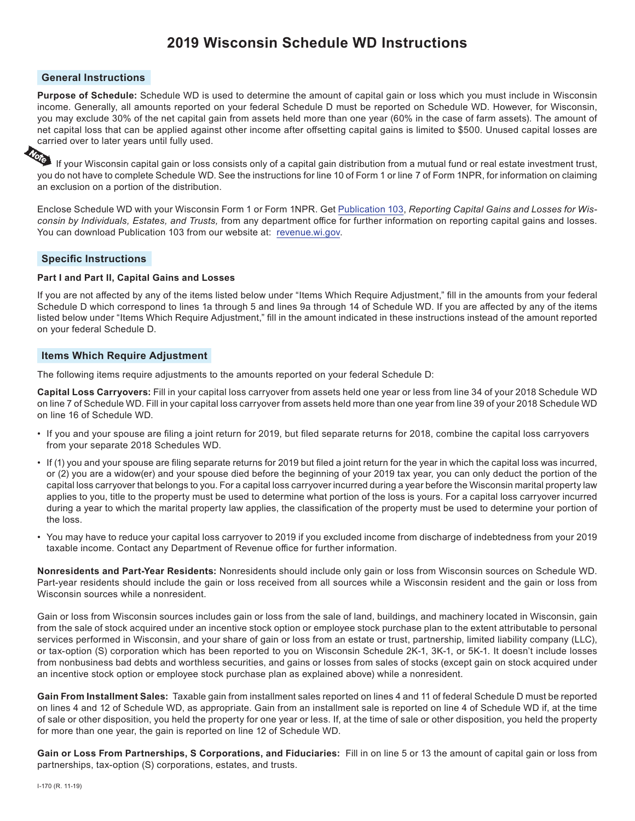# **2019 Wisconsin Schedule WD Instructions**

# **General Instructions**

**Purpose of Schedule:** Schedule WD is used to determine the amount of capital gain or loss which you must include in Wisconsin income. Generally, all amounts reported on your federal Schedule D must be reported on Schedule WD. However, for Wisconsin, you may exclude 30% of the net capital gain from assets held more than one year (60% in the case of farm assets). The amount of net capital loss that can be applied against other income after ofsetting capital gains is limited to \$500. Unused capital losses are

carried over to later years until fully used.<br>
The capital dain or loss If your Wisconsin capital gain or loss consists only of a capital gain distribution from a mutual fund or real estate investment trust, you do not have to complete Schedule WD. See the instructions for line 10 of Form 1 or line 7 of Form 1NPR, for information on claiming an exclusion on a portion of the distribution.

Enclose Schedule WD with your Wisconsin Form 1 or Form 1NPR. Get [Publication 103](https://www.revenue.wi.gov/DOR%20Publications/pb103.pdf), *Reporting Capital Gains and Losses for Wis*consin by Individuals, Estates, and Trusts, from any department office for further information on reporting capital gains and losses. You can download Publication 103 from our website at: [revenue.wi.gov.](https://www.revenue.wi.gov)

## **Specific Instructions**

#### **Part I and Part II, Capital Gains and Losses**

If you are not afected by any of the items listed below under "Items Which Require Adjustment," fll in the amounts from your federal Schedule D which correspond to lines 1a through 5 and lines 9a through 14 of Schedule WD. If you are afected by any of the items listed below under "Items Which Require Adjustment," fll in the amount indicated in these instructions instead of the amount reported on your federal Schedule D.

#### **Items Which Require Adjustment**

The following items require adjustments to the amounts reported on your federal Schedule D:

**Capital Loss Carryovers:** Fill in your capital loss carryover from assets held one year or less from line 34 of your 2018 Schedule WD on line 7 of Schedule WD. Fill in your capital loss carryover from assets held more than one year from line 39 of your 2018 Schedule WD on line 16 of Schedule WD.

- If you and your spouse are fling a joint return for 2019, but fled separate returns for 2018, combine the capital loss carryovers from your separate 2018 Schedules WD.
- If (1) you and your spouse are fling separate returns for 2019 but fled a joint return for the year in which the capital loss was incurred, or (2) you are a widow(er) and your spouse died before the beginning of your 2019 tax year, you can only deduct the portion of the capital loss carryover that belongs to you. For a capital loss carryover incurred during a year before the Wisconsin marital property law applies to you, title to the property must be used to determine what portion of the loss is yours. For a capital loss carryover incurred during a year to which the marital property law applies, the classifcation of the property must be used to determine your portion of the loss.
- You may have to reduce your capital loss carryover to 2019 if you excluded income from discharge of indebtedness from your 2019 taxable income. Contact any Department of Revenue office for further information.

**Nonresidents and Part-Year Residents:** Nonresidents should include only gain or loss from Wisconsin sources on Schedule WD. Part-year residents should include the gain or loss received from all sources while a Wisconsin resident and the gain or loss from Wisconsin sources while a nonresident.

Gain or loss from Wisconsin sources includes gain or loss from the sale of land, buildings, and machinery located in Wisconsin, gain from the sale of stock acquired under an incentive stock option or employee stock purchase plan to the extent attributable to personal services performed in Wisconsin, and your share of gain or loss from an estate or trust, partnership, limited liability company (LLC), or tax-option (S) corporation which has been reported to you on Wisconsin Schedule 2K-1, 3K-1, or 5K-1. It doesn't include losses from nonbusiness bad debts and worthless securities, and gains or losses from sales of stocks (except gain on stock acquired under an incentive stock option or employee stock purchase plan as explained above) while a nonresident.

**Gain From Installment Sales:** Taxable gain from installment sales reported on lines 4 and 11 of federal Schedule D must be reported on lines 4 and 12 of Schedule WD, as appropriate. Gain from an installment sale is reported on line 4 of Schedule WD if, at the time of sale or other disposition, you held the property for one year or less. If, at the time of sale or other disposition, you held the property for more than one year, the gain is reported on line 12 of Schedule WD.

**Gain or Loss From Partnerships, S Corporations, and Fiduciaries:** Fill in on line 5 or 13 the amount of capital gain or loss from partnerships, tax-option (S) corporations, estates, and trusts.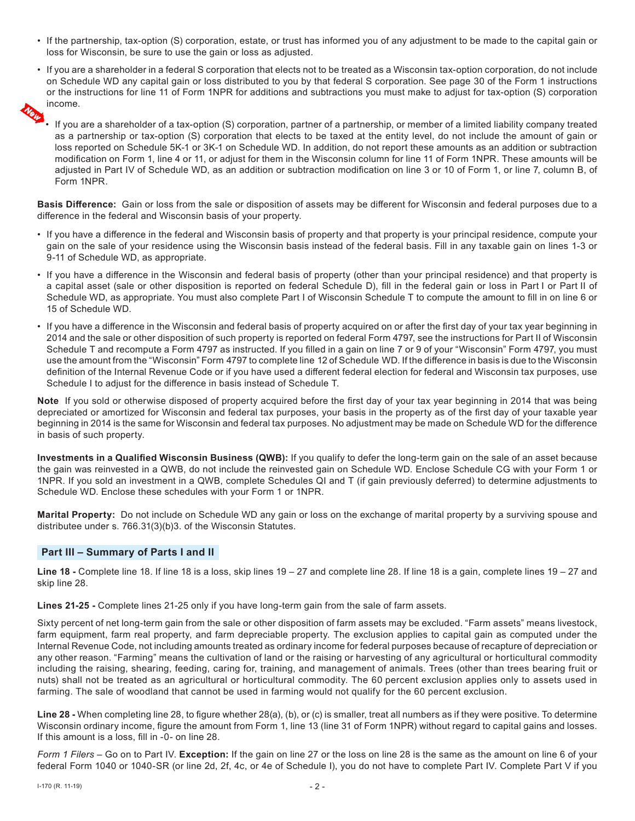- If the partnership, tax-option (S) corporation, estate, or trust has informed you of any adjustment to be made to the capital gain or loss for Wisconsin, be sure to use the gain or loss as adjusted.
- If you are a shareholder in a federal S corporation that elects not to be treated as a Wisconsin tax-option corporation, do not include on Schedule WD any capital gain or loss distributed to you by that federal S corporation. See page 30 of the Form 1 instructions or the instructions for line 11 of Form 1NPR for additions and subtractions you must make to adjust for tax-option (S) corporation income.



• If you are a shareholder of a tax-option (S) corporation, partner of a partnership, or member of a limited liability company treated as a partnership or tax-option (S) corporation that elects to be taxed at the entity level, do not include the amount of gain or loss reported on Schedule 5K-1 or 3K-1 on Schedule WD. In addition, do not report these amounts as an addition or subtraction modifcation on Form 1, line 4 or 11, or adjust for them in the Wisconsin column for line 11 of Form 1NPR. These amounts will be adjusted in Part IV of Schedule WD, as an addition or subtraction modifcation on line 3 or 10 of Form 1, or line 7, column B, of Form 1NPR.

**Basis Diference:** Gain or loss from the sale or disposition of assets may be diferent for Wisconsin and federal purposes due to a diference in the federal and Wisconsin basis of your property.

- If you have a diference in the federal and Wisconsin basis of property and that property is your principal residence, compute your gain on the sale of your residence using the Wisconsin basis instead of the federal basis. Fill in any taxable gain on lines 1-3 or 9-11 of Schedule WD, as appropriate.
- If you have a diference in the Wisconsin and federal basis of property (other than your principal residence) and that property is a capital asset (sale or other disposition is reported on federal Schedule D), fll in the federal gain or loss in Part I or Part II of Schedule WD, as appropriate. You must also complete Part I of Wisconsin Schedule T to compute the amount to fll in on line 6 or 15 of Schedule WD.
- If you have a diference in the Wisconsin and federal basis of property acquired on or after the frst day of your tax year beginning in 2014 and the sale or other disposition of such property is reported on federal Form 4797, see the instructions for Part II of Wisconsin Schedule T and recompute a Form 4797 as instructed. If you flled in a gain on line 7 or 9 of your "Wisconsin" Form 4797, you must use the amount from the "Wisconsin" Form 4797 to complete line 12 of Schedule WD. If the diference in basis is due to the Wisconsin defnition of the Internal Revenue Code or if you have used a diferent federal election for federal and Wisconsin tax purposes, use Schedule I to adjust for the diference in basis instead of Schedule T.

**Note** If you sold or otherwise disposed of property acquired before the frst day of your tax year beginning in 2014 that was being depreciated or amortized for Wisconsin and federal tax purposes, your basis in the property as of the frst day of your taxable year beginning in 2014 is the same for Wisconsin and federal tax purposes. No adjustment may be made on Schedule WD for the diference in basis of such property.

**Investments in a Qualifed Wisconsin Business (QWB):** If you qualify to defer the long-term gain on the sale of an asset because the gain was reinvested in a QWB, do not include the reinvested gain on Schedule WD. Enclose Schedule CG with your Form 1 or 1NPR. If you sold an investment in a QWB, complete Schedules QI and T (if gain previously deferred) to determine adjustments to Schedule WD. Enclose these schedules with your Form 1 or 1NPR.

**Marital Property:** Do not include on Schedule WD any gain or loss on the exchange of marital property by a surviving spouse and distributee under s. 766.31(3)(b)3. of the Wisconsin Statutes.

## **Part III – Summary of Parts I and II**

**Line 18 -** Complete line 18. If line 18 is a loss, skip lines 19 – 27 and complete line 28. If line 18 is a gain, complete lines 19 – 27 and skip line 28.

**Lines 21-25 -** Complete lines 21-25 only if you have long-term gain from the sale of farm assets.

Sixty percent of net long-term gain from the sale or other disposition of farm assets may be excluded. "Farm assets" means livestock, farm equipment, farm real property, and farm depreciable property. The exclusion applies to capital gain as computed under the Internal Revenue Code, not including amounts treated as ordinary income for federal purposes because of recapture of depreciation or any other reason. "Farming" means the cultivation of land or the raising or harvesting of any agricultural or horticultural commodity including the raising, shearing, feeding, caring for, training, and management of animals. Trees (other than trees bearing fruit or nuts) shall not be treated as an agricultural or horticultural commodity. The 60 percent exclusion applies only to assets used in farming. The sale of woodland that cannot be used in farming would not qualify for the 60 percent exclusion.

**Line 28 -** When completing line 28, to fgure whether 28(a), (b), or (c) is smaller, treat all numbers as if they were positive. To determine Wisconsin ordinary income, fgure the amount from Form 1, line 13 (line 31 of Form 1NPR) without regard to capital gains and losses. If this amount is a loss, fll in -0- on line 28.

*Form 1 Filers* – Go on to Part IV. **Exception:** If the gain on line 27 or the loss on line 28 is the same as the amount on line 6 of your federal Form 1040 or 1040-SR (or line 2d, 2f, 4c, or 4e of Schedule I), you do not have to complete Part IV. Complete Part V if you